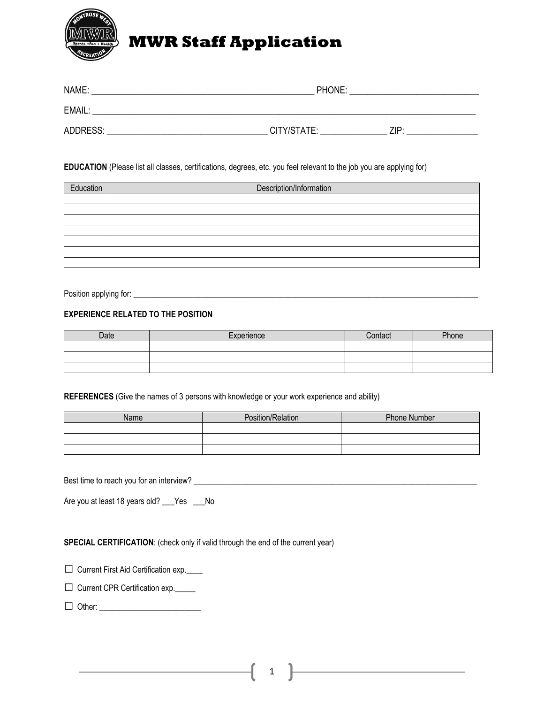

# **MWR Staff Application**

| NAME:    | PHONE:              |  |  |
|----------|---------------------|--|--|
| EMAIL:   |                     |  |  |
| ADDRESS: | CITY/STATE:<br>71P· |  |  |

#### **EDUCATION** (Please list all classes, certifications, degrees, etc. you feel relevant to the job you are applying for)

| Education | Description/Information |  |
|-----------|-------------------------|--|
|           |                         |  |
|           |                         |  |
|           |                         |  |
|           |                         |  |
|           |                         |  |
|           |                         |  |
|           |                         |  |

Position applying for: \_\_\_\_\_\_\_\_\_\_\_\_\_\_\_\_\_\_\_\_\_\_\_\_\_\_\_\_\_\_\_\_\_\_\_\_\_\_\_\_\_\_\_\_\_\_\_\_\_\_\_\_\_\_\_\_\_\_\_\_\_\_\_\_\_\_\_\_\_\_\_\_\_\_\_\_\_\_\_\_\_\_\_\_\_

### **EXPERIENCE RELATED TO THE POSITION**

| Date | Experience | `ontact | Phone |
|------|------------|---------|-------|
|      |            |         |       |
|      |            |         |       |
|      |            |         |       |

**REFERENCES** (Give the names of 3 persons with knowledge or your work experience and ability)

| Name | Position/Relation | <b>Phone Number</b> |  |
|------|-------------------|---------------------|--|
|      |                   |                     |  |
|      |                   |                     |  |
|      |                   |                     |  |

Best time to reach you for an interview? \_\_\_\_\_\_\_\_\_\_\_\_\_\_\_\_\_\_\_\_\_\_\_\_\_\_\_\_\_\_\_\_\_\_\_\_\_\_\_\_\_\_\_\_\_\_\_\_\_\_\_\_\_\_\_\_\_\_\_\_\_\_\_\_\_\_\_\_\_\_

Are you at least 18 years old? \_\_\_Yes \_\_\_No

**SPECIAL CERTIFICATION**: (check only if valid through the end of the current year)

□ Current First Aid Certification exp.

 $\Box$  Current CPR Certification exp.

□ Other: \_\_\_\_\_\_\_\_\_\_\_\_\_\_\_\_\_\_\_\_\_\_\_\_\_

1